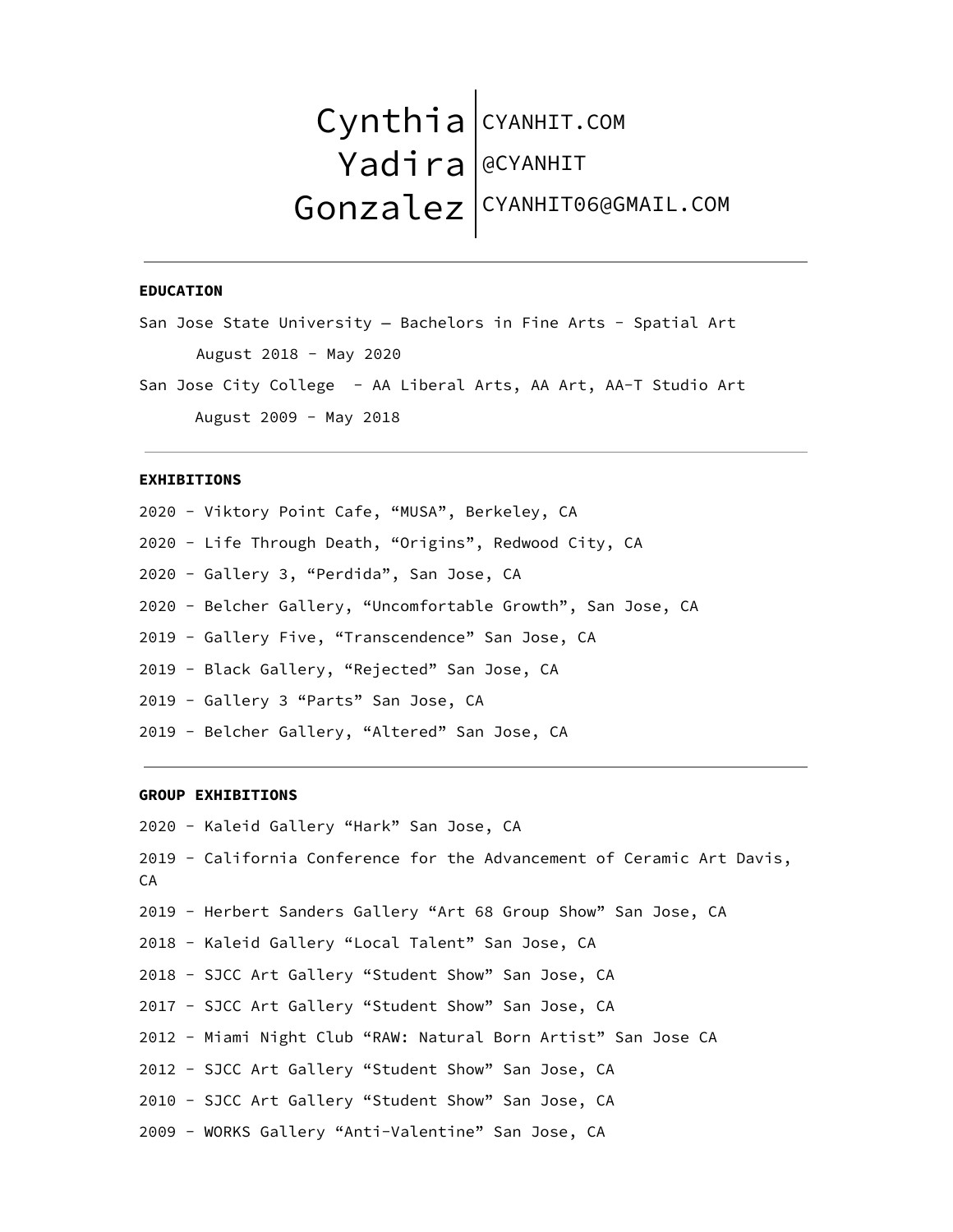# Cynthia CYANHIT.COM Yadira Gonzalez @CYANHIT CYANHIT06@GMAIL.COM

### **EDUCATION**

San Jose State University — Bachelors in Fine Arts - Spatial Art August 2018 - May 2020

San Jose City College - AA Liberal Arts, AA Art, AA-T Studio Art August 2009 - May 2018

## **EXHIBITIONS**

 - Viktory Point Cafe, "MUSA", Berkeley, CA - Life Through Death, "Origins", Redwood City, CA - Gallery 3, "Perdida", San Jose, CA - Belcher Gallery, "Uncomfortable Growth", San Jose, CA - Gallery Five, "Transcendence" San Jose, CA - Black Gallery, "Rejected" San Jose, CA - Gallery 3 "Parts" San Jose, CA - Belcher Gallery, "Altered" San Jose, CA

# **GROUP EXHIBITIONS**

 - Kaleid Gallery "Hark" San Jose, CA - California Conference for the Advancement of Ceramic Art Davis, CA - Herbert Sanders Gallery "Art 68 Group Show" San Jose, CA - Kaleid Gallery "Local Talent" San Jose, CA - SJCC Art Gallery "Student Show" San Jose, CA - SJCC Art Gallery "Student Show" San Jose, CA - Miami Night Club "RAW: Natural Born Artist" San Jose CA - SJCC Art Gallery "Student Show" San Jose, CA - SJCC Art Gallery "Student Show" San Jose, CA - WORKS Gallery "Anti-Valentine" San Jose, CA